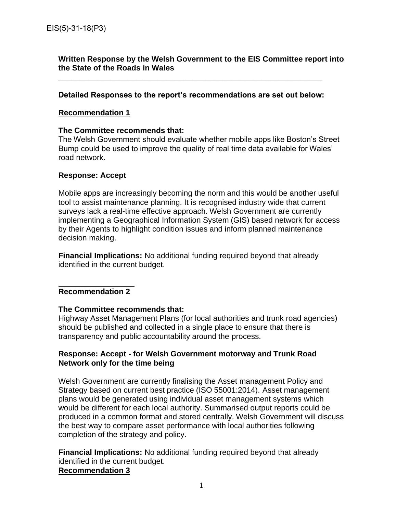# **Written Response by the Welsh Government to the EIS Committee report into the State of the Roads in Wales**

#### **Detailed Responses to the report's recommendations are set out below:**

**\_\_\_\_\_\_\_\_\_\_\_\_\_\_\_\_\_\_\_\_\_\_\_\_\_\_\_\_\_\_\_\_\_\_\_\_\_\_\_\_\_\_\_\_\_\_\_\_\_\_\_\_\_\_\_\_\_\_\_\_\_** 

#### **Recommendation 1**

#### **The Committee recommends that:**

The Welsh Government should evaluate whether mobile apps like Boston's Street Bump could be used to improve the quality of real time data available for Wales' road network.

#### **Response: Accept**

Mobile apps are increasingly becoming the norm and this would be another useful tool to assist maintenance planning. It is recognised industry wide that current surveys lack a real-time effective approach. Welsh Government are currently implementing a Geographical Information System (GIS) based network for access by their Agents to highlight condition issues and inform planned maintenance decision making.

**Financial Implications:** No additional funding required beyond that already identified in the current budget.

## **Recommendation 2**

## **The Committee recommends that:**

Highway Asset Management Plans (for local authorities and trunk road agencies) should be published and collected in a single place to ensure that there is transparency and public accountability around the process.

## **Response: Accept - for Welsh Government motorway and Trunk Road Network only for the time being**

Welsh Government are currently finalising the Asset management Policy and Strategy based on current best practice (ISO 55001:2014). Asset management plans would be generated using individual asset management systems which would be different for each local authority. Summarised output reports could be produced in a common format and stored centrally. Welsh Government will discuss the best way to compare asset performance with local authorities following completion of the strategy and policy.

**Financial Implications:** No additional funding required beyond that already identified in the current budget. **Recommendation 3**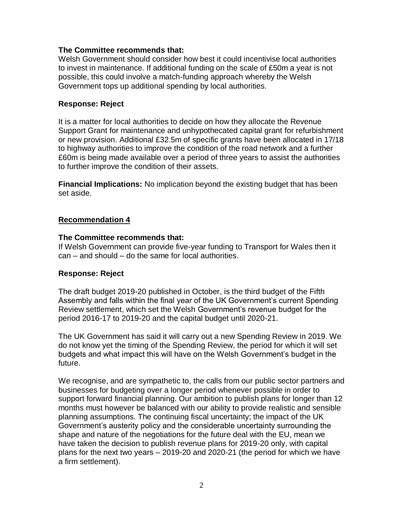# **The Committee recommends that:**

Welsh Government should consider how best it could incentivise local authorities to invest in maintenance. If additional funding on the scale of £50m a year is not possible, this could involve a match-funding approach whereby the Welsh Government tops up additional spending by local authorities.

# **Response: Reject**

It is a matter for local authorities to decide on how they allocate the Revenue Support Grant for maintenance and unhypothecated capital grant for refurbishment or new provision. Additional £32.5m of specific grants have been allocated in 17/18 to highway authorities to improve the condition of the road network and a further £60m is being made available over a period of three years to assist the authorities to further improve the condition of their assets.

**Financial Implications:** No implication beyond the existing budget that has been set aside.

# **Recommendation 4**

## **The Committee recommends that:**

If Welsh Government can provide five-year funding to Transport for Wales then it can – and should – do the same for local authorities.

## **Response: Reject**

The draft budget 2019-20 published in October, is the third budget of the Fifth Assembly and falls within the final year of the UK Government's current Spending Review settlement, which set the Welsh Government's revenue budget for the period 2016-17 to 2019-20 and the capital budget until 2020-21.

The UK Government has said it will carry out a new Spending Review in 2019. We do not know yet the timing of the Spending Review, the period for which it will set budgets and what impact this will have on the Welsh Government's budget in the future.

We recognise, and are sympathetic to, the calls from our public sector partners and businesses for budgeting over a longer period whenever possible in order to support forward financial planning. Our ambition to publish plans for longer than 12 months must however be balanced with our ability to provide realistic and sensible planning assumptions. The continuing fiscal uncertainty; the impact of the UK Government's austerity policy and the considerable uncertainty surrounding the shape and nature of the negotiations for the future deal with the EU, mean we have taken the decision to publish revenue plans for 2019-20 only, with capital plans for the next two years – 2019-20 and 2020-21 (the period for which we have a firm settlement).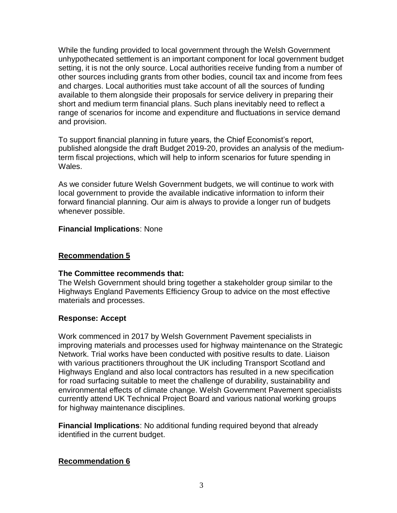While the funding provided to local government through the Welsh Government unhypothecated settlement is an important component for local government budget setting, it is not the only source. Local authorities receive funding from a number of other sources including grants from other bodies, council tax and income from fees and charges. Local authorities must take account of all the sources of funding available to them alongside their proposals for service delivery in preparing their short and medium term financial plans. Such plans inevitably need to reflect a range of scenarios for income and expenditure and fluctuations in service demand and provision.

To support financial planning in future years, the Chief Economist's report, published alongside the draft Budget 2019-20, provides an analysis of the mediumterm fiscal projections, which will help to inform scenarios for future spending in Wales.

As we consider future Welsh Government budgets, we will continue to work with local government to provide the available indicative information to inform their forward financial planning. Our aim is always to provide a longer run of budgets whenever possible.

# **Financial Implications**: None

# **Recommendation 5**

# **The Committee recommends that:**

The Welsh Government should bring together a stakeholder group similar to the Highways England Pavements Efficiency Group to advice on the most effective materials and processes.

# **Response: Accept**

Work commenced in 2017 by Welsh Government Pavement specialists in improving materials and processes used for highway maintenance on the Strategic Network. Trial works have been conducted with positive results to date. Liaison with various practitioners throughout the UK including Transport Scotland and Highways England and also local contractors has resulted in a new specification for road surfacing suitable to meet the challenge of durability, sustainability and environmental effects of climate change. Welsh Government Pavement specialists currently attend UK Technical Project Board and various national working groups for highway maintenance disciplines.

**Financial Implications**: No additional funding required beyond that already identified in the current budget.

# **Recommendation 6**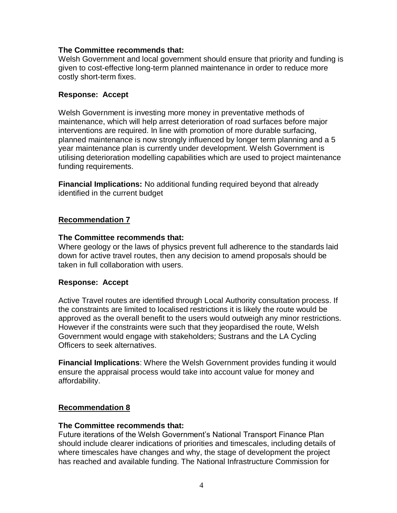## **The Committee recommends that:**

Welsh Government and local government should ensure that priority and funding is given to cost-effective long-term planned maintenance in order to reduce more costly short-term fixes.

# **Response: Accept**

Welsh Government is investing more money in preventative methods of maintenance, which will help arrest deterioration of road surfaces before major interventions are required. In line with promotion of more durable surfacing, planned maintenance is now strongly influenced by longer term planning and a 5 year maintenance plan is currently under development. Welsh Government is utilising deterioration modelling capabilities which are used to project maintenance funding requirements.

**Financial Implications:** No additional funding required beyond that already identified in the current budget

# **Recommendation 7**

## **The Committee recommends that:**

Where geology or the laws of physics prevent full adherence to the standards laid down for active travel routes, then any decision to amend proposals should be taken in full collaboration with users.

## **Response: Accept**

Active Travel routes are identified through Local Authority consultation process. If the constraints are limited to localised restrictions it is likely the route would be approved as the overall benefit to the users would outweigh any minor restrictions. However if the constraints were such that they jeopardised the route, Welsh Government would engage with stakeholders; Sustrans and the LA Cycling Officers to seek alternatives.

**Financial Implications**: Where the Welsh Government provides funding it would ensure the appraisal process would take into account value for money and affordability.

# **Recommendation 8**

## **The Committee recommends that:**

Future iterations of the Welsh Government's National Transport Finance Plan should include clearer indications of priorities and timescales, including details of where timescales have changes and why, the stage of development the project has reached and available funding. The National Infrastructure Commission for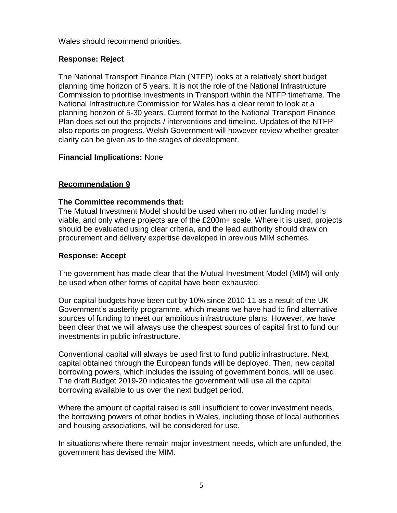Wales should recommend priorities.

# **Response: Reject**

The National Transport Finance Plan (NTFP) looks at a relatively short budget planning time horizon of 5 years. It is not the role of the National Infrastructure Commission to prioritise investments in Transport within the NTFP timeframe. The National Infrastructure Commission for Wales has a clear remit to look at a planning horizon of 5-30 years. Current format to the National Transport Finance Plan does set out the projects / interventions and timeline. Updates of the NTFP also reports on progress. Welsh Government will however review whether greater clarity can be given as to the stages of development.

# **Financial Implications:** None

# **Recommendation 9**

## **The Committee recommends that:**

The Mutual Investment Model should be used when no other funding model is viable, and only where projects are of the £200m+ scale. Where it is used, projects should be evaluated using clear criteria, and the lead authority should draw on procurement and delivery expertise developed in previous MIM schemes.

# **Response: Accept**

The government has made clear that the Mutual Investment Model (MIM) will only be used when other forms of capital have been exhausted.

Our capital budgets have been cut by 10% since 2010-11 as a result of the UK Government's austerity programme, which means we have had to find alternative sources of funding to meet our ambitious infrastructure plans. However, we have been clear that we will always use the cheapest sources of capital first to fund our investments in public infrastructure.

Conventional capital will always be used first to fund public infrastructure. Next, capital obtained through the European funds will be deployed. Then, new capital borrowing powers, which includes the issuing of government bonds, will be used. The draft Budget 2019-20 indicates the government will use all the capital borrowing available to us over the next budget period.

Where the amount of capital raised is still insufficient to cover investment needs, the borrowing powers of other bodies in Wales, including those of local authorities and housing associations, will be considered for use.

In situations where there remain major investment needs, which are unfunded, the government has devised the MIM.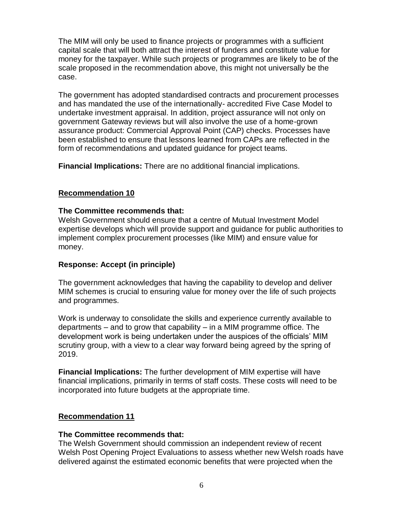The MIM will only be used to finance projects or programmes with a sufficient capital scale that will both attract the interest of funders and constitute value for money for the taxpayer. While such projects or programmes are likely to be of the scale proposed in the recommendation above, this might not universally be the case.

The government has adopted standardised contracts and procurement processes and has mandated the use of the internationally- accredited Five Case Model to undertake investment appraisal. In addition, project assurance will not only on government Gateway reviews but will also involve the use of a home-grown assurance product: Commercial Approval Point (CAP) checks. Processes have been established to ensure that lessons learned from CAPs are reflected in the form of recommendations and updated guidance for project teams.

**Financial Implications:** There are no additional financial implications.

# **Recommendation 10**

# **The Committee recommends that:**

Welsh Government should ensure that a centre of Mutual Investment Model expertise develops which will provide support and guidance for public authorities to implement complex procurement processes (like MIM) and ensure value for money.

# **Response: Accept (in principle)**

The government acknowledges that having the capability to develop and deliver MIM schemes is crucial to ensuring value for money over the life of such projects and programmes.

Work is underway to consolidate the skills and experience currently available to departments – and to grow that capability – in a MIM programme office. The development work is being undertaken under the auspices of the officials' MIM scrutiny group, with a view to a clear way forward being agreed by the spring of 2019.

**Financial Implications:** The further development of MIM expertise will have financial implications, primarily in terms of staff costs. These costs will need to be incorporated into future budgets at the appropriate time.

# **Recommendation 11**

## **The Committee recommends that:**

The Welsh Government should commission an independent review of recent Welsh Post Opening Project Evaluations to assess whether new Welsh roads have delivered against the estimated economic benefits that were projected when the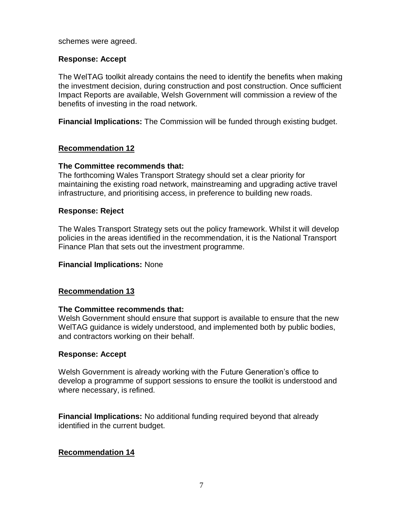#### schemes were agreed.

## **Response: Accept**

The WelTAG toolkit already contains the need to identify the benefits when making the investment decision, during construction and post construction. Once sufficient Impact Reports are available, Welsh Government will commission a review of the benefits of investing in the road network.

**Financial Implications:** The Commission will be funded through existing budget.

## **Recommendation 12**

#### **The Committee recommends that:**

The forthcoming Wales Transport Strategy should set a clear priority for maintaining the existing road network, mainstreaming and upgrading active travel infrastructure, and prioritising access, in preference to building new roads.

#### **Response: Reject**

The Wales Transport Strategy sets out the policy framework. Whilst it will develop policies in the areas identified in the recommendation, it is the National Transport Finance Plan that sets out the investment programme.

#### **Financial Implications:** None

## **Recommendation 13**

#### **The Committee recommends that:**

Welsh Government should ensure that support is available to ensure that the new WelTAG guidance is widely understood, and implemented both by public bodies, and contractors working on their behalf.

#### **Response: Accept**

Welsh Government is already working with the Future Generation's office to develop a programme of support sessions to ensure the toolkit is understood and where necessary, is refined.

**Financial Implications:** No additional funding required beyond that already identified in the current budget.

## **Recommendation 14**